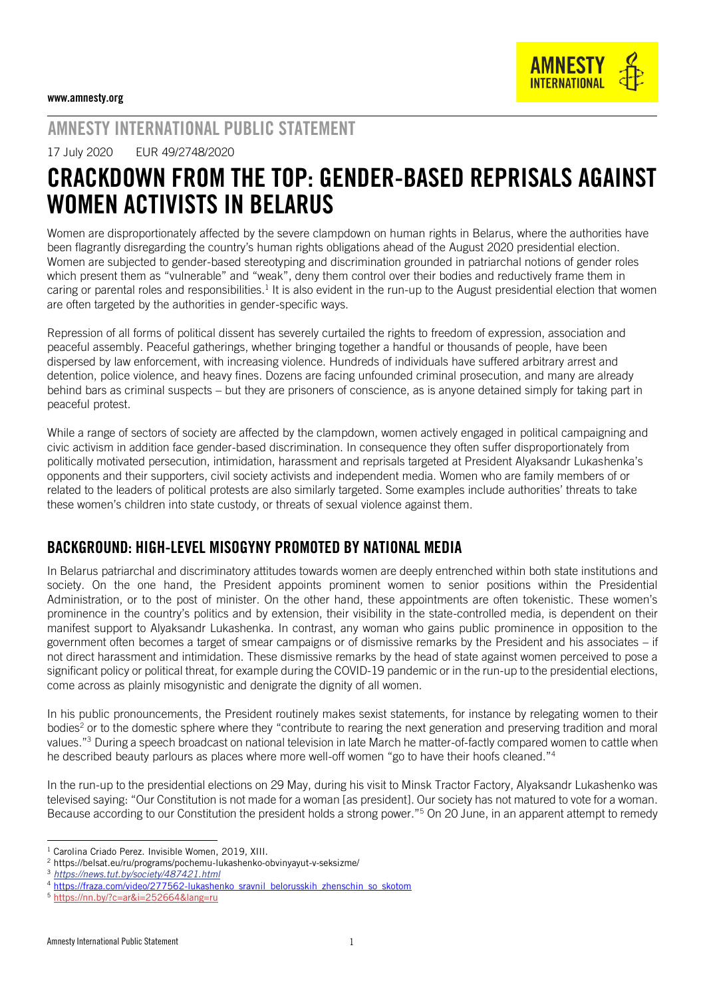# AMNESTY INTERNATIONAL PUBLIC STATEMENT

17 July 2020 EUR 49/2748/2020

# CRACKDOWN FROM THE TOP: GENDER-BASED REPRISALS AGAINST WOMEN ACTIVISTS IN BELARUS

Women are disproportionately affected by the severe clampdown on human rights in Belarus, where the authorities have been flagrantly disregarding the country's human rights obligations ahead of the August 2020 presidential election. Women are subjected to gender-based stereotyping and discrimination grounded in patriarchal notions of gender roles which present them as "vulnerable" and "weak", deny them control over their bodies and reductively frame them in caring or parental roles and responsibilities.<sup>1</sup> It is also evident in the run-up to the August presidential election that women are often targeted by the authorities in gender-specific ways.

Repression of all forms of political dissent has severely curtailed the rights to freedom of expression, association and peaceful assembly. Peaceful gatherings, whether bringing together a handful or thousands of people, have been dispersed by law enforcement, with increasing violence. Hundreds of individuals have suffered arbitrary arrest and detention, police violence, and heavy fines. Dozens are facing unfounded criminal prosecution, and many are already behind bars as criminal suspects – but they are prisoners of conscience, as is anyone detained simply for taking part in peaceful protest.

While a range of sectors of society are affected by the clampdown, women actively engaged in political campaigning and civic activism in addition face gender-based discrimination. In consequence they often suffer disproportionately from politically motivated persecution, intimidation, harassment and reprisals targeted at President Alyaksandr Lukashenka's opponents and their supporters, civil society activists and independent media. Women who are family members of or related to the leaders of political protests are also similarly targeted. Some examples include authorities' threats to take these women's children into state custody, or threats of sexual violence against them.

### BACKGROUND: HIGH-LEVEL MISOGYNY PROMOTED BY NATIONAL MEDIA

In Belarus patriarchal and discriminatory attitudes towards women are deeply entrenched within both state institutions and society. On the one hand, the President appoints prominent women to senior positions within the Presidential Administration, or to the post of minister. On the other hand, these appointments are often tokenistic. These women's prominence in the country's politics and by extension, their visibility in the state-controlled media, is dependent on their manifest support to Alyaksandr Lukashenka. In contrast, any woman who gains public prominence in opposition to the government often becomes a target of smear campaigns or of dismissive remarks by the President and his associates – if not direct harassment and intimidation. These dismissive remarks by the head of state against women perceived to pose a significant policy or political threat, for example during the COVID-19 pandemic or in the run-up to the presidential elections, come across as plainly misogynistic and denigrate the dignity of all women.

In his public pronouncements, the President routinely makes sexist statements, for instance by relegating women to their bodies<sup>2</sup> or to the domestic sphere where they "contribute to rearing the next generation and preserving tradition and moral values."<sup>3</sup> During a speech broadcast on national television in late March he matter-of-factly compared women to cattle when he described beauty parlours as places where more well-off women "go to have their hoofs cleaned."<sup>4</sup>

In the run-up to the presidential elections on 29 May, during his visit to Minsk Tractor Factory, Alyaksandr Lukashenko was televised saying: "Our Constitution is not made for a woman [as president]. Our society has not matured to vote for a woman. Because according to our Constitution the president holds a strong power."<sup>5</sup> On 20 June, in an apparent attempt to remedy

j <sup>1</sup> Carolina Criado Perez. Invisible Women, 2019, XIII.

<sup>2</sup> <https://belsat.eu/ru/programs/pochemu-lukashenko-obvinyayut-v-seksizme/>

<sup>3</sup> *<https://news.tut.by/society/487421.html>*

<sup>4</sup> [https://fraza.com/video/277562-lukashenko\\_sravnil\\_belorusskih\\_zhenschin\\_so\\_skotom](https://fraza.com/video/277562-lukashenko_sravnil_belorusskih_zhenschin_so_skotom)

<sup>5</sup> <https://nn.by/?c=ar&i=252664&lang=ru>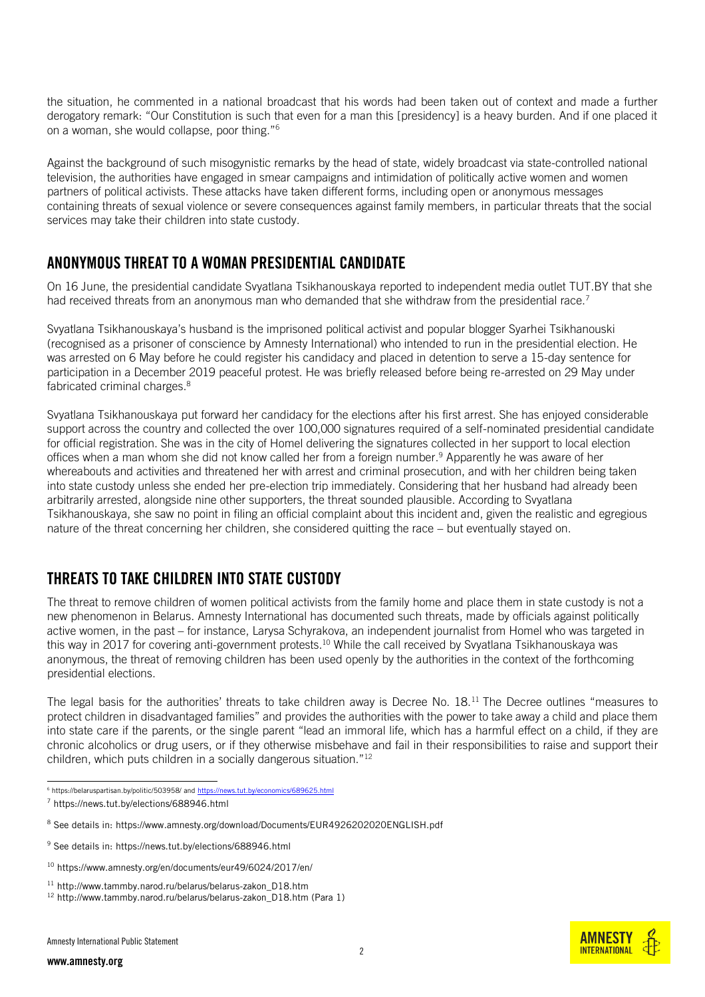the situation, he commented in a national broadcast that his words had been taken out of context and made a further derogatory remark: "Our Constitution is such that even for a man this [presidency] is a heavy burden. And if one placed it on a woman, she would collapse, poor thing."<sup>6</sup>

Against the background of such misogynistic remarks by the head of state, widely broadcast via state-controlled national television, the authorities have engaged in smear campaigns and intimidation of politically active women and women partners of political activists. These attacks have taken different forms, including open or anonymous messages containing threats of sexual violence or severe consequences against family members, in particular threats that the social services may take their children into state custody.

## ANONYMOUS THREAT TO A WOMAN PRESIDENTIAL CANDIDATE

On 16 June, the presidential candidate Svyatlana Tsikhanouskaya reported to independent media outlet TUT.BY that she had received threats from an anonymous man who demanded that she withdraw from the presidential race.<sup>7</sup>

Svyatlana Tsikhanouskaya's husband is the imprisoned political activist and popular blogger Syarhei Tsikhanouski (recognised as a prisoner of conscience by Amnesty International) who intended to run in the presidential election. He was arrested on 6 May before he could register his candidacy and placed in detention to serve a 15-day sentence for participation in a December 2019 peaceful protest. He was briefly released before being re-arrested on 29 May under fabricated criminal charges.<sup>8</sup>

Svyatlana Tsikhanouskaya put forward her candidacy for the elections after his first arrest. She has enjoyed considerable support across the country and collected the over 100,000 signatures required of a self-nominated presidential candidate for official registration. She was in the city of Homel delivering the signatures collected in her support to local election offices when a man whom she did not know called her from a foreign number.<sup>9</sup> Apparently he was aware of her whereabouts and activities and threatened her with arrest and criminal prosecution, and with her children being taken into state custody unless she ended her pre-election trip immediately. Considering that her husband had already been arbitrarily arrested, alongside nine other supporters, the threat sounded plausible. According to Svyatlana Tsikhanouskaya, she saw no point in filing an official complaint about this incident and, given the realistic and egregious nature of the threat concerning her children, she considered quitting the race – but eventually stayed on.

# THREATS TO TAKE CHILDREN INTO STATE CUSTODY

The threat to remove children of women political activists from the family home and place them in state custody is not a new phenomenon in Belarus. Amnesty International has documented such threats, made by officials against politically active women, in the past – for instance, Larysa Schyrakova, an independent journalist from Homel who was targeted in this way in 2017 for covering anti-government protests.<sup>10</sup> While the call received by Svyatlana Tsikhanouskaya was anonymous, the threat of removing children has been used openly by the authorities in the context of the forthcoming presidential elections.

The legal basis for the authorities' threats to take children away is Decree No. 18.<sup>11</sup> The Decree outlines "measures to protect children in disadvantaged families" and provides the authorities with the power to take away a child and place them into state care if the parents, or the single parent "lead an immoral life, which has a harmful effect on a child, if they are chronic alcoholics or drug users, or if they otherwise misbehave and fail in their responsibilities to raise and support their children, which puts children in a socially dangerous situation."<sup>12</sup>

<sup>6</sup> <https://belaruspartisan.by/politic/503958/> an[d https://news.tut.by/economics/689625.html](https://news.tut.by/economics/689625.html)



<sup>7</sup> <https://news.tut.by/elections/688946.html>

<sup>8</sup> See details in[: https://www.amnesty.org/download/Documents/EUR4926202020ENGLISH.pdf](https://www.amnesty.org/download/Documents/EUR4926202020ENGLISH.pdf)

<sup>9</sup> See details in[: https://news.tut.by/elections/688946.html](https://news.tut.by/elections/688946.html)

<sup>10</sup> <https://www.amnesty.org/en/documents/eur49/6024/2017/en/>

<sup>11</sup> [http://www.tammby.narod.ru/belarus/belarus-zakon\\_D18.htm](http://www.tammby.narod.ru/belarus/belarus-zakon_D18.htm)

<sup>&</sup>lt;sup>12</sup> [http://www.tammby.narod.ru/belarus/belarus-zakon\\_D18.htm](http://www.tammby.narod.ru/belarus/belarus-zakon_D18.htm) (Para 1)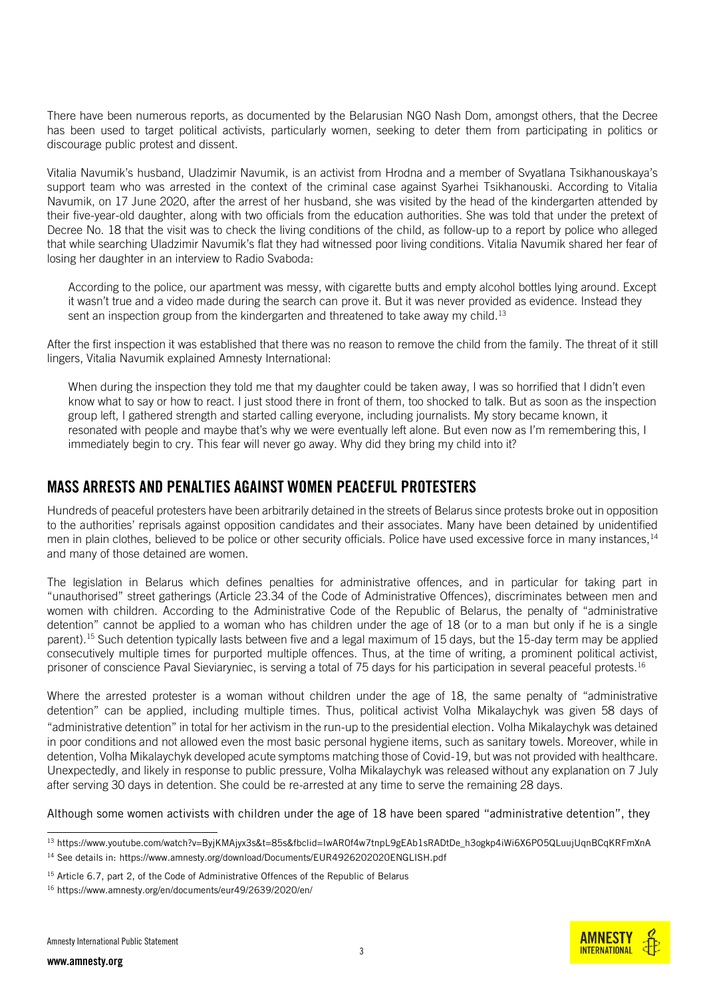There have been numerous reports, as documented by the Belarusian NGO Nash Dom, amongst others, that the Decree has been used to target political activists, particularly women, seeking to deter them from participating in politics or discourage public protest and dissent.

Vitalia Navumik's husband, Uladzimir Navumik, is an activist from Hrodna and a member of Svyatlana Tsikhanouskaya's support team who was arrested in the context of the criminal case against Syarhei Tsikhanouski. According to Vitalia Navumik, on 17 June 2020, after the arrest of her husband, she was visited by the head of the kindergarten attended by their five-year-old daughter, along with two officials from the education authorities. She was told that under the pretext of Decree No. 18 that the visit was to check the living conditions of the child, as follow-up to a report by police who alleged that while searching Uladzimir Navumik's flat they had witnessed poor living conditions. Vitalia Navumik shared her fear of losing her daughter in an interview to Radio Svaboda:

According to the police, our apartment was messy, with cigarette butts and empty alcohol bottles lying around. Except it wasn't true and a video made during the search can prove it. But it was never provided as evidence. Instead they sent an inspection group from the kindergarten and threatened to take away my child.<sup>13</sup>

After the first inspection it was established that there was no reason to remove the child from the family. The threat of it still lingers, Vitalia Navumik explained Amnesty International:

When during the inspection they told me that my daughter could be taken away, I was so horrified that I didn't even know what to say or how to react. I just stood there in front of them, too shocked to talk. But as soon as the inspection group left, I gathered strength and started calling everyone, including journalists. My story became known, it resonated with people and maybe that's why we were eventually left alone. But even now as I'm remembering this, I immediately begin to cry. This fear will never go away. Why did they bring my child into it?

#### MASS ARRESTS AND PENALTIES AGAINST WOMEN PEACEFUL PROTESTERS

Hundreds of peaceful protesters have been arbitrarily detained in the streets of Belarus since protests broke out in opposition to the authorities' reprisals against opposition candidates and their associates. Many have been detained by unidentified men in plain clothes, believed to be police or other security officials. Police have used excessive force in many instances, 14 and many of those detained are women.

The legislation in Belarus which defines penalties for administrative offences, and in particular for taking part in "unauthorised" street gatherings (Article 23.34 of the Code of Administrative Offences), discriminates between men and women with children. According to the Administrative Code of the Republic of Belarus, the penalty of "administrative detention" cannot be applied to a woman who has children under the age of 18 (or to a man but only if he is a single parent).<sup>15</sup> Such detention typically lasts between five and a legal maximum of 15 days, but the 15-day term may be applied consecutively multiple times for purported multiple offences. Thus, at the time of writing, a prominent political activist, prisoner of conscience Paval Sieviaryniec, is serving a total of 75 days for his participation in several peaceful protests.<sup>16</sup>

Where the arrested protester is a woman without children under the age of 18, the same penalty of "administrative detention" can be applied, including multiple times. Thus, political activist Volha Mikalaychyk was given 58 days of "administrative detention" in total for her activism in the run-up to the presidential election. Volha Mikalaychyk was detained in poor conditions and not allowed even the most basic personal hygiene items, such as sanitary towels. Moreover, while in detention, Volha Mikalaychyk developed acute symptoms matching those of Covid-19, but was not provided with healthcare. Unexpectedly, and likely in response to public pressure, Volha Mikalaychyk was released without any explanation on 7 July after serving 30 days in detention. She could be re-arrested at any time to serve the remaining 28 days.

Although some women activists with children under the age of 18 have been spared "administrative detention", they



<sup>-</sup><sup>13</sup> [https://www.youtube.com/watch?v=ByjKMAjyx3s&t=85s&fbclid=IwAR0f4w7tnpL9gEAb1sRADtDe\\_h3ogkp4iWi6X6PO5QLuujUqnBCqKRFmXnA](https://www.youtube.com/watch?v=ByjKMAjyx3s&t=85s&fbclid=IwAR0f4w7tnpL9gEAb1sRADtDe_h3ogkp4iWi6X6PO5QLuujUqnBCqKRFmXnA) <sup>14</sup> See details in[: https://www.amnesty.org/download/Documents/EUR4926202020ENGLISH.pdf](https://www.amnesty.org/download/Documents/EUR4926202020ENGLISH.pdf)

<sup>&</sup>lt;sup>15</sup> Article 6.7, part 2, of the Code of Administrative Offences of the Republic of Belarus

<sup>16</sup> <https://www.amnesty.org/en/documents/eur49/2639/2020/en/>